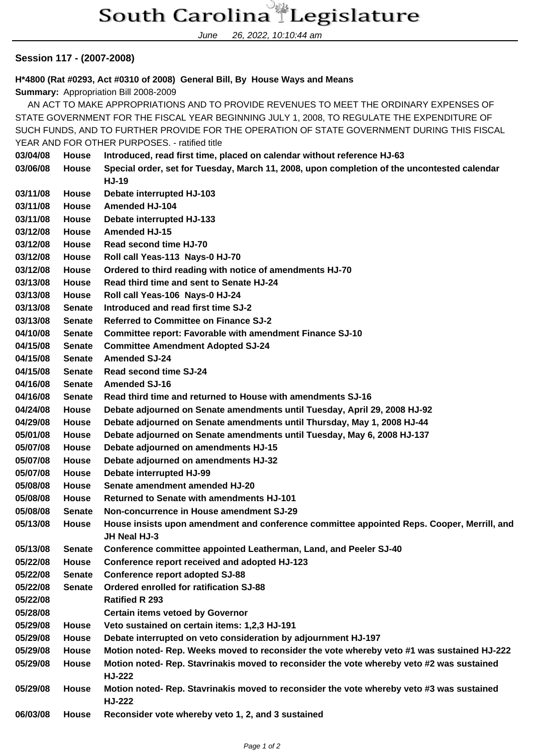## South Carolina Legislature

June 26, 2022, 10:10:44 am

## **Session 117 - (2007-2008)**

**H\*4800 (Rat #0293, Act #0310 of 2008) General Bill, By House Ways and Means**

**Summary:** Appropriation Bill 2008-2009

 AN ACT TO MAKE APPROPRIATIONS AND TO PROVIDE REVENUES TO MEET THE ORDINARY EXPENSES OF STATE GOVERNMENT FOR THE FISCAL YEAR BEGINNING JULY 1, 2008, TO REGULATE THE EXPENDITURE OF SUCH FUNDS, AND TO FURTHER PROVIDE FOR THE OPERATION OF STATE GOVERNMENT DURING THIS FISCAL YEAR AND FOR OTHER PURPOSES. - ratified title

| 03/04/08 | <b>House</b>  | Introduced, read first time, placed on calendar without reference HJ-63                                    |
|----------|---------------|------------------------------------------------------------------------------------------------------------|
| 03/06/08 | House         | Special order, set for Tuesday, March 11, 2008, upon completion of the uncontested calendar                |
|          |               | <b>HJ-19</b>                                                                                               |
| 03/11/08 | <b>House</b>  | Debate interrupted HJ-103                                                                                  |
| 03/11/08 | <b>House</b>  | <b>Amended HJ-104</b>                                                                                      |
| 03/11/08 | House         | Debate interrupted HJ-133                                                                                  |
| 03/12/08 | House         | <b>Amended HJ-15</b>                                                                                       |
| 03/12/08 | House         | Read second time HJ-70                                                                                     |
| 03/12/08 | House         | Roll call Yeas-113 Nays-0 HJ-70                                                                            |
| 03/12/08 | <b>House</b>  | Ordered to third reading with notice of amendments HJ-70                                                   |
| 03/13/08 | <b>House</b>  | Read third time and sent to Senate HJ-24                                                                   |
| 03/13/08 | House         | Roll call Yeas-106 Nays-0 HJ-24                                                                            |
| 03/13/08 | <b>Senate</b> | Introduced and read first time SJ-2                                                                        |
| 03/13/08 | <b>Senate</b> | <b>Referred to Committee on Finance SJ-2</b>                                                               |
| 04/10/08 | <b>Senate</b> | <b>Committee report: Favorable with amendment Finance SJ-10</b>                                            |
| 04/15/08 | <b>Senate</b> | <b>Committee Amendment Adopted SJ-24</b>                                                                   |
| 04/15/08 | <b>Senate</b> | <b>Amended SJ-24</b>                                                                                       |
| 04/15/08 | <b>Senate</b> | <b>Read second time SJ-24</b>                                                                              |
| 04/16/08 | <b>Senate</b> | <b>Amended SJ-16</b>                                                                                       |
| 04/16/08 | <b>Senate</b> | Read third time and returned to House with amendments SJ-16                                                |
| 04/24/08 | <b>House</b>  | Debate adjourned on Senate amendments until Tuesday, April 29, 2008 HJ-92                                  |
| 04/29/08 | House         | Debate adjourned on Senate amendments until Thursday, May 1, 2008 HJ-44                                    |
| 05/01/08 | House         | Debate adjourned on Senate amendments until Tuesday, May 6, 2008 HJ-137                                    |
| 05/07/08 | House         | Debate adjourned on amendments HJ-15                                                                       |
| 05/07/08 | House         | Debate adjourned on amendments HJ-32                                                                       |
| 05/07/08 | House         | Debate interrupted HJ-99                                                                                   |
| 05/08/08 | House         | Senate amendment amended HJ-20                                                                             |
| 05/08/08 | <b>House</b>  | <b>Returned to Senate with amendments HJ-101</b>                                                           |
| 05/08/08 | <b>Senate</b> | Non-concurrence in House amendment SJ-29                                                                   |
| 05/13/08 | <b>House</b>  | House insists upon amendment and conference committee appointed Reps. Cooper, Merrill, and<br>JH Neal HJ-3 |
| 05/13/08 | <b>Senate</b> | Conference committee appointed Leatherman, Land, and Peeler SJ-40                                          |
| 05/22/08 | House         | Conference report received and adopted HJ-123                                                              |
| 05/22/08 | <b>Senate</b> | <b>Conference report adopted SJ-88</b>                                                                     |
| 05/22/08 | <b>Senate</b> | Ordered enrolled for ratification SJ-88                                                                    |
| 05/22/08 |               | <b>Ratified R 293</b>                                                                                      |
| 05/28/08 |               | <b>Certain items vetoed by Governor</b>                                                                    |
| 05/29/08 | House         | Veto sustained on certain items: 1,2,3 HJ-191                                                              |
| 05/29/08 | House         | Debate interrupted on veto consideration by adjournment HJ-197                                             |
| 05/29/08 | House         | Motion noted- Rep. Weeks moved to reconsider the vote whereby veto #1 was sustained HJ-222                 |
| 05/29/08 | House         | Motion noted-Rep. Stavrinakis moved to reconsider the vote whereby veto #2 was sustained<br><b>HJ-222</b>  |
| 05/29/08 | House         | Motion noted- Rep. Stavrinakis moved to reconsider the vote whereby veto #3 was sustained<br><b>HJ-222</b> |
| 06/03/08 | House         | Reconsider vote whereby veto 1, 2, and 3 sustained                                                         |